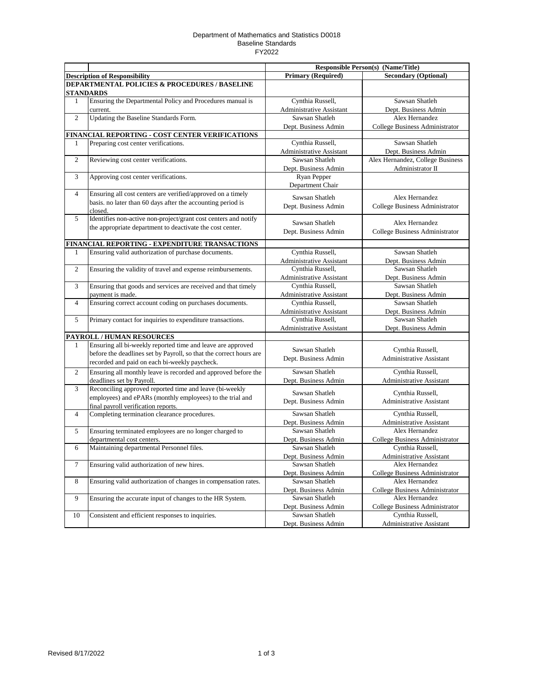## Department of Mathematics and Statistics D0018 Baseline Standards FY2022

|                                               |                                                                                      |                                                     | Responsible Person(s) (Name/Title)     |  |  |  |
|-----------------------------------------------|--------------------------------------------------------------------------------------|-----------------------------------------------------|----------------------------------------|--|--|--|
|                                               | <b>Description of Responsibility</b>                                                 | <b>Primary (Required)</b>                           | <b>Secondary (Optional)</b>            |  |  |  |
| DEPARTMENTAL POLICIES & PROCEDURES / BASELINE |                                                                                      |                                                     |                                        |  |  |  |
|                                               | <b>STANDARDS</b>                                                                     |                                                     |                                        |  |  |  |
| $\mathbf{1}$                                  | Ensuring the Departmental Policy and Procedures manual is                            | Cynthia Russell,                                    | Sawsan Shatleh                         |  |  |  |
|                                               | current.                                                                             | Administrative Assistant                            | Dept. Business Admin                   |  |  |  |
| $\overline{c}$                                | Updating the Baseline Standards Form.                                                | Sawsan Shatleh                                      | Alex Hernandez                         |  |  |  |
|                                               |                                                                                      | Dept. Business Admin                                | College Business Administrator         |  |  |  |
|                                               | FINANCIAL REPORTING - COST CENTER VERIFICATIONS                                      |                                                     |                                        |  |  |  |
| 1                                             | Preparing cost center verifications.                                                 | Cynthia Russell,                                    | Sawsan Shatleh                         |  |  |  |
|                                               |                                                                                      | Administrative Assistant                            | Dept. Business Admin                   |  |  |  |
| $\mathbf{2}$                                  | Reviewing cost center verifications.                                                 | Sawsan Shatleh                                      | Alex Hernandez, College Business       |  |  |  |
|                                               |                                                                                      | Dept. Business Admin                                | Administrator II                       |  |  |  |
| 3                                             | Approving cost center verifications.                                                 | Ryan Pepper                                         |                                        |  |  |  |
|                                               |                                                                                      | Department Chair                                    |                                        |  |  |  |
| $\overline{4}$                                | Ensuring all cost centers are verified/approved on a timely                          | Sawsan Shatleh                                      | Alex Hernandez                         |  |  |  |
|                                               | basis. no later than 60 days after the accounting period is                          | Dept. Business Admin                                | College Business Administrator         |  |  |  |
|                                               | closed.                                                                              |                                                     |                                        |  |  |  |
| 5                                             | Identifies non-active non-project/grant cost centers and notify                      | Sawsan Shatleh                                      | Alex Hernandez                         |  |  |  |
|                                               | the appropriate department to deactivate the cost center.                            | Dept. Business Admin                                | College Business Administrator         |  |  |  |
|                                               |                                                                                      |                                                     |                                        |  |  |  |
|                                               | FINANCIAL REPORTING - EXPENDITURE TRANSACTIONS                                       |                                                     | Sawsan Shatleh                         |  |  |  |
| 1                                             | Ensuring valid authorization of purchase documents.                                  | Cynthia Russell,                                    |                                        |  |  |  |
|                                               |                                                                                      | Administrative Assistant                            | Dept. Business Admin                   |  |  |  |
| $\overline{c}$                                | Ensuring the validity of travel and expense reimbursements.                          | Cynthia Russell,                                    | Sawsan Shatleh                         |  |  |  |
|                                               |                                                                                      | <b>Administrative Assistant</b><br>Cynthia Russell, | Dept. Business Admin<br>Sawsan Shatleh |  |  |  |
| 3                                             | Ensuring that goods and services are received and that timely                        |                                                     |                                        |  |  |  |
| $\overline{4}$                                | payment is made.<br>Ensuring correct account coding on purchases documents.          | Administrative Assistant<br>Cynthia Russell,        | Dept. Business Admin<br>Sawsan Shatleh |  |  |  |
|                                               |                                                                                      | Administrative Assistant                            |                                        |  |  |  |
| 5                                             | Primary contact for inquiries to expenditure transactions.                           | Cynthia Russell,                                    | Dept. Business Admin<br>Sawsan Shatleh |  |  |  |
|                                               |                                                                                      | Administrative Assistant                            | Dept. Business Admin                   |  |  |  |
|                                               | PAYROLL / HUMAN RESOURCES                                                            |                                                     |                                        |  |  |  |
| 1                                             | Ensuring all bi-weekly reported time and leave are approved                          |                                                     |                                        |  |  |  |
|                                               | before the deadlines set by Payroll, so that the correct hours are                   | Sawsan Shatleh                                      | Cynthia Russell,                       |  |  |  |
|                                               | recorded and paid on each bi-weekly paycheck.                                        | Dept. Business Admin                                | <b>Administrative Assistant</b>        |  |  |  |
| 2                                             | Ensuring all monthly leave is recorded and approved before the                       | Sawsan Shatleh                                      | Cynthia Russell,                       |  |  |  |
|                                               |                                                                                      |                                                     | Administrative Assistant               |  |  |  |
| 3                                             | deadlines set by Payroll.<br>Reconciling approved reported time and leave (bi-weekly | Dept. Business Admin                                |                                        |  |  |  |
|                                               | employees) and ePARs (monthly employees) to the trial and                            | Sawsan Shatleh                                      | Cynthia Russell,                       |  |  |  |
|                                               | final payroll verification reports.                                                  | Dept. Business Admin                                | Administrative Assistant               |  |  |  |
| $\overline{4}$                                | Completing termination clearance procedures.                                         | Sawsan Shatleh                                      | Cynthia Russell,                       |  |  |  |
|                                               |                                                                                      | Dept. Business Admin                                | Administrative Assistant               |  |  |  |
| 5                                             | Ensuring terminated employees are no longer charged to                               | Sawsan Shatleh                                      | Alex Hernandez                         |  |  |  |
|                                               | departmental cost centers.                                                           | Dept. Business Admin                                | College Business Administrator         |  |  |  |
| 6                                             | Maintaining departmental Personnel files.                                            | Sawsan Shatleh                                      | Cynthia Russell,                       |  |  |  |
|                                               |                                                                                      | Dept. Business Admin                                | <b>Administrative Assistant</b>        |  |  |  |
| $\overline{7}$                                | Ensuring valid authorization of new hires.                                           | Sawsan Shatleh                                      | Alex Hernandez                         |  |  |  |
|                                               |                                                                                      | Dept. Business Admin                                | <b>College Business Administrator</b>  |  |  |  |
| $\,8\,$                                       | Ensuring valid authorization of changes in compensation rates.                       | Sawsan Shatleh                                      | Alex Hernandez                         |  |  |  |
|                                               |                                                                                      | Dept. Business Admin                                | College Business Administrator         |  |  |  |
| 9                                             | Ensuring the accurate input of changes to the HR System.                             | Sawsan Shatleh                                      | Alex Hernandez                         |  |  |  |
|                                               |                                                                                      | Dept. Business Admin                                | College Business Administrator         |  |  |  |
| 10                                            | Consistent and efficient responses to inquiries.                                     | Sawsan Shatleh                                      | Cynthia Russell,                       |  |  |  |
|                                               |                                                                                      | Dept. Business Admin                                | Administrative Assistant               |  |  |  |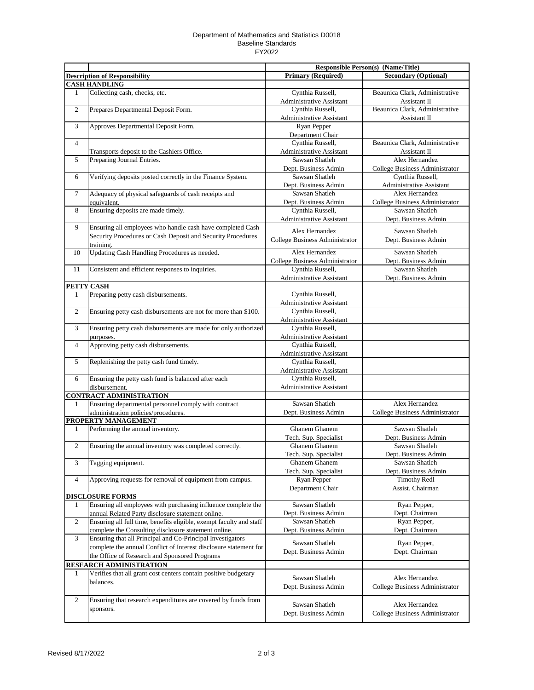## Department of Mathematics and Statistics D0018 Baseline Standards FY2022

|                         |                                                                     |                                              | <b>Responsible Person(s) (Name/Title)</b>          |  |
|-------------------------|---------------------------------------------------------------------|----------------------------------------------|----------------------------------------------------|--|
|                         | <b>Description of Responsibility</b>                                | <b>Primary (Required)</b>                    | <b>Secondary (Optional)</b>                        |  |
|                         | <b>CASH HANDLING</b>                                                |                                              |                                                    |  |
| 1                       | Collecting cash, checks, etc.                                       | Cynthia Russell,                             | Beaunica Clark, Administrative                     |  |
|                         |                                                                     | Administrative Assistant                     | Assistant II                                       |  |
| $\mathbf{2}$            | Prepares Departmental Deposit Form.                                 | Cynthia Russell,                             | Beaunica Clark, Administrative                     |  |
|                         |                                                                     | Administrative Assistant                     | Assistant II                                       |  |
| 3                       | Approves Departmental Deposit Form.                                 | Ryan Pepper                                  |                                                    |  |
|                         |                                                                     | Department Chair                             |                                                    |  |
| $\overline{4}$          |                                                                     | Cynthia Russell,                             | Beaunica Clark, Administrative                     |  |
|                         | Transports deposit to the Cashiers Office.                          | Administrative Assistant<br>Sawsan Shatleh   | Assistant II<br>Alex Hernandez                     |  |
| 5                       | Preparing Journal Entries.                                          |                                              |                                                    |  |
| 6                       | Verifying deposits posted correctly in the Finance System.          | Dept. Business Admin<br>Sawsan Shatleh       | College Business Administrator<br>Cynthia Russell, |  |
|                         |                                                                     | Dept. Business Admin                         | Administrative Assistant                           |  |
| $\tau$                  | Adequacy of physical safeguards of cash receipts and                | Sawsan Shatleh                               | Alex Hernandez                                     |  |
|                         | equivalent.                                                         | Dept. Business Admin                         | College Business Administrator                     |  |
| 8                       | Ensuring deposits are made timely.                                  | Cynthia Russell,                             | Sawsan Shatleh                                     |  |
|                         |                                                                     | <b>Administrative Assistant</b>              | Dept. Business Admin                               |  |
| 9                       | Ensuring all employees who handle cash have completed Cash          |                                              |                                                    |  |
|                         | Security Procedures or Cash Deposit and Security Procedures         | Alex Hernandez                               | Sawsan Shatleh                                     |  |
|                         | training.                                                           | College Business Administrator               | Dept. Business Admin                               |  |
| 10                      | Updating Cash Handling Procedures as needed.                        | Alex Hernandez                               | Sawsan Shatleh                                     |  |
|                         |                                                                     | College Business Administrator               | Dept. Business Admin                               |  |
| 11                      | Consistent and efficient responses to inquiries.                    | Cynthia Russell,                             | Sawsan Shatleh                                     |  |
|                         |                                                                     | <b>Administrative Assistant</b>              | Dept. Business Admin                               |  |
|                         | PETTY CASH                                                          |                                              |                                                    |  |
| 1                       | Preparing petty cash disbursements.                                 | Cynthia Russell,                             |                                                    |  |
|                         |                                                                     | Administrative Assistant                     |                                                    |  |
| $\mathbf{2}$            | Ensuring petty cash disbursements are not for more than \$100.      | Cynthia Russell,                             |                                                    |  |
|                         |                                                                     | Administrative Assistant                     |                                                    |  |
| 3                       | Ensuring petty cash disbursements are made for only authorized      | Cynthia Russell,                             |                                                    |  |
|                         | purposes.                                                           | Administrative Assistant                     |                                                    |  |
| 4                       | Approving petty cash disbursements.                                 | Cynthia Russell,                             |                                                    |  |
|                         |                                                                     | Administrative Assistant<br>Cynthia Russell, |                                                    |  |
| 5                       | Replenishing the petty cash fund timely.                            | Administrative Assistant                     |                                                    |  |
| 6                       | Ensuring the petty cash fund is balanced after each                 | Cynthia Russell,                             |                                                    |  |
|                         | disbursement.                                                       | Administrative Assistant                     |                                                    |  |
|                         | <b>CONTRACT ADMINISTRATION</b>                                      |                                              |                                                    |  |
| 1                       | Ensuring departmental personnel comply with contract                | Sawsan Shatleh                               | Alex Hernandez                                     |  |
|                         | administration policies/procedures.                                 | Dept. Business Admin                         | College Business Administrator                     |  |
|                         | PROPERTY MANAGEMENT                                                 |                                              |                                                    |  |
| 1                       | Performing the annual inventory.                                    | <b>Ghanem Ghanem</b>                         | Sawsan Shatleh                                     |  |
|                         |                                                                     | Tech. Sup. Specialist                        | Dept. Business Admin                               |  |
| $\overline{c}$          | Ensuring the annual inventory was completed correctly.              | Ghanem Ghanem                                | Sawsan Shatleh                                     |  |
|                         |                                                                     | Tech. Sup. Specialist                        | Dept. Business Admin                               |  |
| 3                       | Tagging equipment.                                                  | Ghanem Ghanem                                | Sawsan Shatleh                                     |  |
|                         |                                                                     | Tech. Sup. Specialist                        | Dept. Business Admin                               |  |
| $\overline{\mathbf{4}}$ | Approving requests for removal of equipment from campus.            | Ryan Pepper                                  | <b>Timothy Redl</b>                                |  |
|                         |                                                                     | Department Chair                             | Assist. Chairman                                   |  |
|                         | <b>DISCLOSURE FORMS</b>                                             |                                              |                                                    |  |
| 1                       | Ensuring all employees with purchasing influence complete the       | Sawsan Shatleh                               | Ryan Pepper,                                       |  |
|                         | annual Related Party disclosure statement online.                   | Dept. Business Admin                         | Dept. Chairman                                     |  |
| $\mathbf{2}$            | Ensuring all full time, benefits eligible, exempt faculty and staff | Sawsan Shatleh                               | Ryan Pepper,                                       |  |
|                         | complete the Consulting disclosure statement online.                | Dept. Business Admin                         | Dept. Chairman                                     |  |
| 3                       | Ensuring that all Principal and Co-Principal Investigators          | Sawsan Shatleh                               | Ryan Pepper,                                       |  |
|                         | complete the annual Conflict of Interest disclosure statement for   | Dept. Business Admin                         | Dept. Chairman                                     |  |
|                         | the Office of Research and Sponsored Programs                       |                                              |                                                    |  |
|                         | RESEARCH ADMINISTRATION                                             |                                              |                                                    |  |
| 1                       | Verifies that all grant cost centers contain positive budgetary     | Sawsan Shatleh                               | Alex Hernandez                                     |  |
|                         | balances.                                                           | Dept. Business Admin                         | College Business Administrator                     |  |
|                         |                                                                     |                                              |                                                    |  |
| $\mathbf{2}$            | Ensuring that research expenditures are covered by funds from       | Sawsan Shatleh                               | Alex Hernandez                                     |  |
|                         | sponsors.                                                           | Dept. Business Admin                         | College Business Administrator                     |  |
|                         |                                                                     |                                              |                                                    |  |